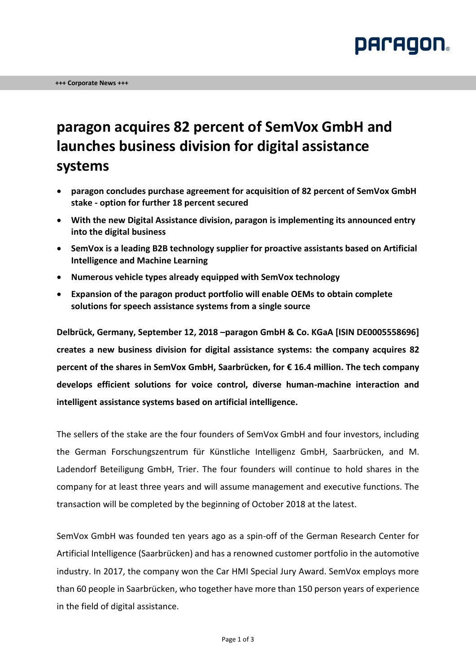

## **paragon acquires 82 percent of SemVox GmbH and launches business division for digital assistance systems**

- **paragon concludes purchase agreement for acquisition of 82 percent of SemVox GmbH stake - option for further 18 percent secured**
- **With the new Digital Assistance division, paragon is implementing its announced entry into the digital business**
- **SemVox is a leading B2B technology supplier for proactive assistants based on Artificial Intelligence and Machine Learning**
- **Numerous vehicle types already equipped with SemVox technology**
- **Expansion of the paragon product portfolio will enable OEMs to obtain complete solutions for speech assistance systems from a single source**

**Delbrück, Germany, September 12, 2018 –paragon GmbH & Co. KGaA [ISIN DE0005558696] creates a new business division for digital assistance systems: the company acquires 82 percent of the shares in SemVox GmbH, Saarbrücken, for € 16.4 million. The tech company develops efficient solutions for voice control, diverse human-machine interaction and intelligent assistance systems based on artificial intelligence.**

The sellers of the stake are the four founders of SemVox GmbH and four investors, including the German Forschungszentrum für Künstliche Intelligenz GmbH, Saarbrücken, and M. Ladendorf Beteiligung GmbH, Trier. The four founders will continue to hold shares in the company for at least three years and will assume management and executive functions. The transaction will be completed by the beginning of October 2018 at the latest.

SemVox GmbH was founded ten years ago as a spin-off of the German Research Center for Artificial Intelligence (Saarbrücken) and has a renowned customer portfolio in the automotive industry. In 2017, the company won the Car HMI Special Jury Award. SemVox employs more than 60 people in Saarbrücken, who together have more than 150 person years of experience in the field of digital assistance.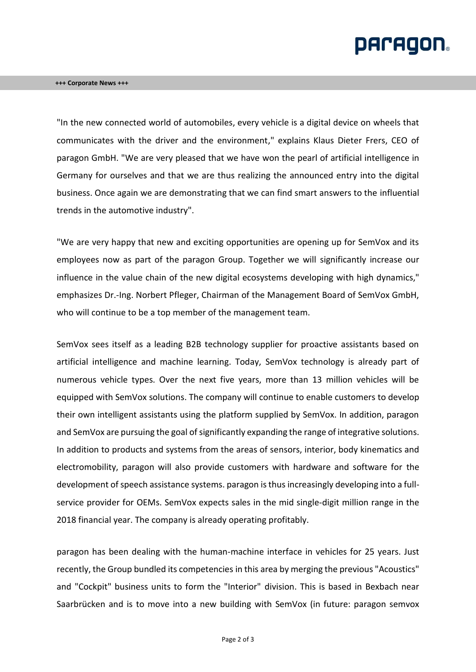# **DACAQON.**

"In the new connected world of automobiles, every vehicle is a digital device on wheels that communicates with the driver and the environment," explains Klaus Dieter Frers, CEO of paragon GmbH. "We are very pleased that we have won the pearl of artificial intelligence in Germany for ourselves and that we are thus realizing the announced entry into the digital business. Once again we are demonstrating that we can find smart answers to the influential trends in the automotive industry".

"We are very happy that new and exciting opportunities are opening up for SemVox and its employees now as part of the paragon Group. Together we will significantly increase our influence in the value chain of the new digital ecosystems developing with high dynamics," emphasizes Dr.-Ing. Norbert Pfleger, Chairman of the Management Board of SemVox GmbH, who will continue to be a top member of the management team.

SemVox sees itself as a leading B2B technology supplier for proactive assistants based on artificial intelligence and machine learning. Today, SemVox technology is already part of numerous vehicle types. Over the next five years, more than 13 million vehicles will be equipped with SemVox solutions. The company will continue to enable customers to develop their own intelligent assistants using the platform supplied by SemVox. In addition, paragon and SemVox are pursuing the goal of significantly expanding the range of integrative solutions. In addition to products and systems from the areas of sensors, interior, body kinematics and electromobility, paragon will also provide customers with hardware and software for the development of speech assistance systems. paragon is thus increasingly developing into a fullservice provider for OEMs. SemVox expects sales in the mid single-digit million range in the 2018 financial year. The company is already operating profitably.

paragon has been dealing with the human-machine interface in vehicles for 25 years. Just recently, the Group bundled its competencies in this area by merging the previous "Acoustics" and "Cockpit" business units to form the "Interior" division. This is based in Bexbach near Saarbrücken and is to move into a new building with SemVox (in future: paragon semvox